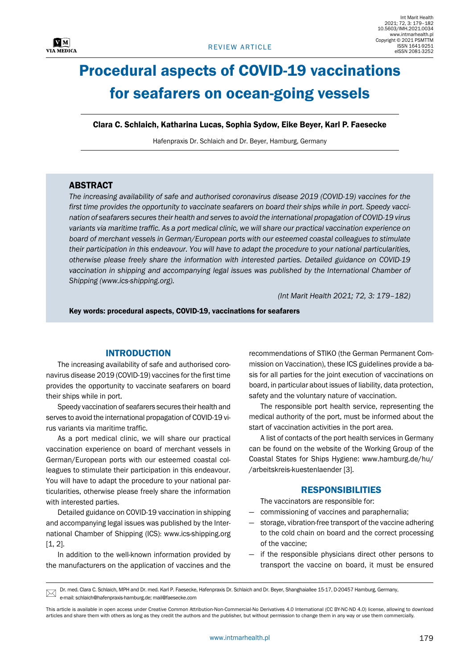

# Procedural aspects of COVID-19 vaccinations for seafarers on ocean-going vessels

Clara C. Schlaich, Katharina Lucas, Sophia Sydow, Eike Beyer, Karl P. Faesecke

Hafenpraxis Dr. Schlaich and Dr. Beyer, Hamburg, Germany

# **ABSTRACT**

*The increasing availability of safe and authorised coronavirus disease 2019 (COVID-19) vaccines for the first time provides the opportunity to vaccinate seafarers on board their ships while in port. Speedy vaccination of seafarers secures their health and serves to avoid the international propagation of COVID-19 virus variants via maritime traffic. As a port medical clinic, we will share our practical vaccination experience on board of merchant vessels in German/European ports with our esteemed coastal colleagues to stimulate their participation in this endeavour. You will have to adapt the procedure to your national particularities, otherwise please freely share the information with interested parties. Detailed guidance on COVID-19*  vaccination in shipping and accompanying legal issues was published by the International Chamber of *Shipping (www.ics-shipping.org).*

*(Int Marit Health 2021; 72, 3: 179–182)*

Key words: procedural aspects, COVID-19, vaccinations for seafarers

## INTRODUCTION

The increasing availability of safe and authorised coronavirus disease 2019 (COVID-19) vaccines for the first time provides the opportunity to vaccinate seafarers on board their ships while in port.

Speedy vaccination of seafarers secures their health and serves to avoid the international propagation of COVID-19 virus variants via maritime traffic.

As a port medical clinic, we will share our practical vaccination experience on board of merchant vessels in German/European ports with our esteemed coastal colleagues to stimulate their participation in this endeavour. You will have to adapt the procedure to your national particularities, otherwise please freely share the information with interested parties.

Detailed guidance on COVID-19 vaccination in shipping and accompanying legal issues was published by the International Chamber of Shipping (ICS): [www.ics-shipping.org](http://www.ics-shipping.org/) [1, 2].

In addition to the well-known information provided by the manufacturers on the application of vaccines and the

recommendations of STIKO (the German Permanent Commission on Vaccination), these ICS guidelines provide a basis for all parties for the joint execution of vaccinations on board, in particular about issues of liability, data protection, safety and the voluntary nature of vaccination.

The responsible port health service, representing the medical authority of the port, must be informed about the start of vaccination activities in the port area.

A list of contacts of the port health services in Germany can be found on the website of the Working Group of the Coastal States for Ships Hygiene: [www.hamburg.de/hu/](http://www.hamburg.de/hu/arbeitskreis-kuestenlaender) [/arbeitskreis-kuestenlaender](http://www.hamburg.de/hu/arbeitskreis-kuestenlaender) [3].

## **RESPONSIBILITIES**

The vaccinators are responsible for:

- commissioning of vaccines and paraphernalia;
- storage, vibration-free transport of the vaccine adhering to the cold chain on board and the correct processing of the vaccine;
- if the responsible physicians direct other persons to transport the vaccine on board, it must be ensured

Dr. med. Clara C. Schlaich, MPH and Dr. med. Karl P. Faesecke, Hafenpraxis Dr. Schlaich and Dr. Beyer, Shanghaiallee 15-17, D-20457 Hamburg, Germany, e-mail: schlaich@hafenpraxis-hamburg.de; mail@faesecke.com  $\boxtimes$ 

This article is available in open access under Creative Common Attribution-Non-Commercial-No Derivatives 4.0 International (CC BY-NC-ND 4.0) license, allowing to download articles and share them with others as long as they credit the authors and the publisher, but without permission to change them in any way or use them commercially.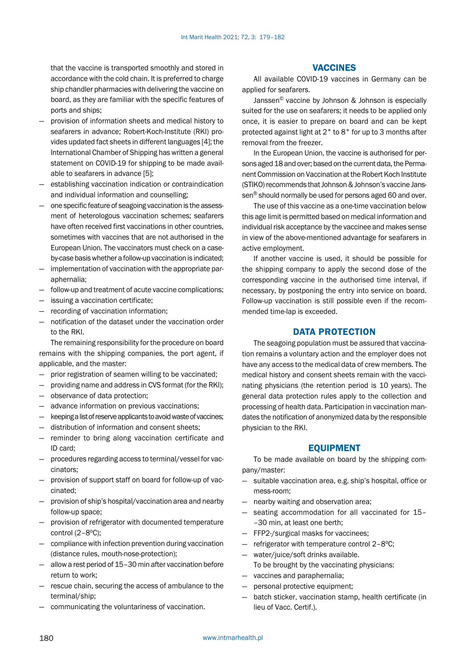that the vaccine is transported smoothly and stored in accordance with the cold chain. It is preferred to charge ship chandler pharmacies with delivering the vaccine on board, as they are familiar with the specific features of ports and ships;

- provision of information sheets and medical history to seafarers in advance; Robert-Koch-Institute (RKI) provides updated fact sheets in different languages [4]; the International Chamber of Shipping has written a general statement on COVID-19 for shipping to be made available to seafarers in advance [5];
- establishing vaccination indication or contraindication and individual information and counselling;
- one specific feature of seagoing vaccination is the assessment of heterologous vaccination schemes; seafarers have often received first vaccinations in other countries, sometimes with vaccines that are not authorised in the European Union. The vaccinators must check on a caseby-case basis whether a follow-up vaccination is indicated;
- implementation of vaccination with the appropriate paraphernalia;
- follow-up and treatment of acute vaccine complications;
- issuing a vaccination certificate;
- recording of vaccination information;
- notification of the dataset under the vaccination order to the RKI.

The remaining responsibility for the procedure on board remains with the shipping companies, the port agent, if applicable, and the master:

- prior registration of seamen willing to be vaccinated;
- providing name and address in CVS format (for the RKI);
- observance of data protection;
- advance information on previous vaccinations;
- keeping a list of reserve applicants to avoid waste of vaccines;
- distribution of information and consent sheets;
- reminder to bring along vaccination certificate and ID card;
- procedures regarding access to terminal/vessel for vaccinators;
- provision of support staff on board for follow-up of vaccinated;
- provision of ship's hospital/vaccination area and nearby follow-up space;
- provision of refrigerator with documented temperature control  $(2-8°C)$ ;
- compliance with infection prevention during vaccination (distance rules, mouth-nose-protection);
- allow a rest period of 15–30 min after vaccination before return to work;
- rescue chain, securing the access of ambulance to the terminal/ship;
- communicating the voluntariness of vaccination.

# VACCINES

All available COVID-19 vaccines in Germany can be applied for seafarers.

Janssen© vaccine by Johnson & Johnson is especially suited for the use on seafarers; it needs to be applied only once, it is easier to prepare on board and can be kept protected against light at 2° to 8° for up to 3 months after removal from the freezer.

In the European Union, the vaccine is authorised for persons aged 18 and over; based on the current data, the Permanent Commission on Vaccination at the Robert Koch Institute (STIKO) recommends that Johnson & Johnson's vaccine Janssen® should normally be used for persons aged 60 and over.

The use of this vaccine as a one-time vaccination below this age limit is permitted based on medical information and individual risk acceptance by the vaccinee and makes sense in view of the above-mentioned advantage for seafarers in active employment.

If another vaccine is used, it should be possible for the shipping company to apply the second dose of the corresponding vaccine in the authorised time interval, if necessary, by postponing the entry into service on board. Follow-up vaccination is still possible even if the recommended time-lap is exceeded.

# DATA PROTECTION

The seagoing population must be assured that vaccination remains a voluntary action and the employer does not have any access to the medical data of crew members. The medical history and consent sheets remain with the vaccinating physicians (the retention period is 10 years). The general data protection rules apply to the collection and processing of health data. Participation in vaccination mandates the notification of anonymized data by the responsible physician to the RKI.

# EQUIPMENT

To be made available on board by the shipping company/master:

- suitable vaccination area, e.g. ship's hospital, office or mess-room;
- nearby waiting and observation area;
- seating accommodation for all vaccinated for 15– –30 min, at least one berth;
- FFP2-/surgical masks for vaccinees;
- $-$  refrigerator with temperature control 2-8°C;
- water/juice/soft drinks available. To be brought by the vaccinating physicians:
- vaccines and paraphernalia;
- personal protective equipment;
- batch sticker, vaccination stamp, health certificate (in lieu of Vacc. Certif.).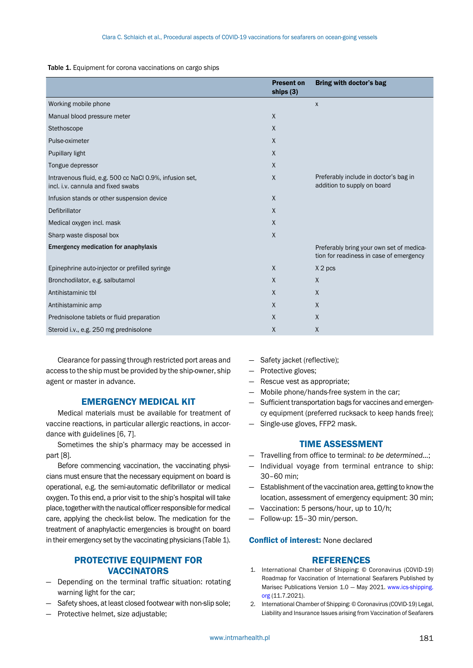#### Table 1. Equipment for corona vaccinations on cargo ships

|                                                                                               | <b>Present on</b><br>ships $(3)$ | <b>Bring with doctor's bag</b>                                                      |
|-----------------------------------------------------------------------------------------------|----------------------------------|-------------------------------------------------------------------------------------|
| Working mobile phone                                                                          |                                  | X                                                                                   |
| Manual blood pressure meter                                                                   | $\sf X$                          |                                                                                     |
| Stethoscope                                                                                   | $\sf X$                          |                                                                                     |
| Pulse-oximeter                                                                                | X                                |                                                                                     |
| Pupillary light                                                                               | $\mathsf{X}$                     |                                                                                     |
| Tongue depressor                                                                              | $\sf X$                          |                                                                                     |
| Intravenous fluid, e.g. 500 cc NaCl 0.9%, infusion set,<br>incl. i.v. cannula and fixed swabs | $\sf X$                          | Preferably include in doctor's bag in<br>addition to supply on board                |
| Infusion stands or other suspension device                                                    | $\sf X$                          |                                                                                     |
| Defibrillator                                                                                 | X                                |                                                                                     |
| Medical oxygen incl. mask                                                                     | $\mathsf{X}$                     |                                                                                     |
| Sharp waste disposal box                                                                      | $\mathsf{X}$                     |                                                                                     |
| <b>Emergency medication for anaphylaxis</b>                                                   |                                  | Preferably bring your own set of medica-<br>tion for readiness in case of emergency |
| Epinephrine auto-injector or prefilled syringe                                                | $\mathsf{X}$                     | X 2 pcs                                                                             |
| Bronchodilator, e.g. salbutamol                                                               | $\sf X$                          | $\mathsf{X}$                                                                        |
| Antihistaminic tbl                                                                            | $\mathsf{X}$                     | $\mathsf{X}$                                                                        |
| Antihistaminic amp                                                                            | $\mathsf{X}$                     | $\mathsf{X}$                                                                        |
| Prednisolone tablets or fluid preparation                                                     | $\mathsf{X}$                     | $\mathsf{X}$                                                                        |
| Steroid i.v., e.g. 250 mg prednisolone                                                        | Χ                                | $\mathsf{X}$                                                                        |

Clearance for passing through restricted port areas and access to the ship must be provided by the ship-owner, ship agent or master in advance.

# EMERGENCY MEDICAL KIT

Medical materials must be available for treatment of vaccine reactions, in particular allergic reactions, in accordance with guidelines [6, 7].

Sometimes the ship's pharmacy may be accessed in part [8].

Before commencing vaccination, the vaccinating physicians must ensure that the necessary equipment on board is operational, e.g. the semi-automatic defibrillator or medical oxygen. To this end, a prior visit to the ship's hospital will take place, together with the nautical officer responsible for medical care, applying the check-list below. The medication for the treatment of anaphylactic emergencies is brought on board in their emergency set by the vaccinating physicians (Table 1).

# PROTECTIVE EQUIPMENT FOR **VACCINATORS**

- Depending on the terminal traffic situation: rotating warning light for the car;
- Safety shoes, at least closed footwear with non-slip sole;
- Protective helmet, size adjustable;
- Safety jacket (reflective);
- Protective gloves;
- Rescue vest as appropriate;
- Mobile phone/hands-free system in the car;
- Sufficient transportation bags for vaccines and emergency equipment (preferred rucksack to keep hands free);
- Single-use gloves, FFP2 mask.

# TIME ASSESSMENT

- Travelling from office to terminal: *to be determined…*;
- Individual voyage from terminal entrance to ship: 30–60 min;
- Establishment of the vaccination area, getting to know the location, assessment of emergency equipment: 30 min;
- Vaccination: 5 persons/hour, up to 10/h;
- Follow-up: 15–30 min/person.

#### Conflict of interest: None declared

### REFERENCES

- 1. International Chamber of Shipping: © Coronavirus (COVID-19) Roadmap for Vaccination of International Seafarers Published by Marisec Publications Version 1.0 — May 2021. [www.ics-shipping.](https://journals.viamedica.pl/international_maritime_health/editor/submissionCitations/www.ics-shipping.org) [org](https://journals.viamedica.pl/international_maritime_health/editor/submissionCitations/www.ics-shipping.org) (11.7.2021).
- 2. International Chamber of Shipping: © Coronavirus (COVID-19) Legal, Liability and Insurance Issues arising from Vaccination of Seafarers